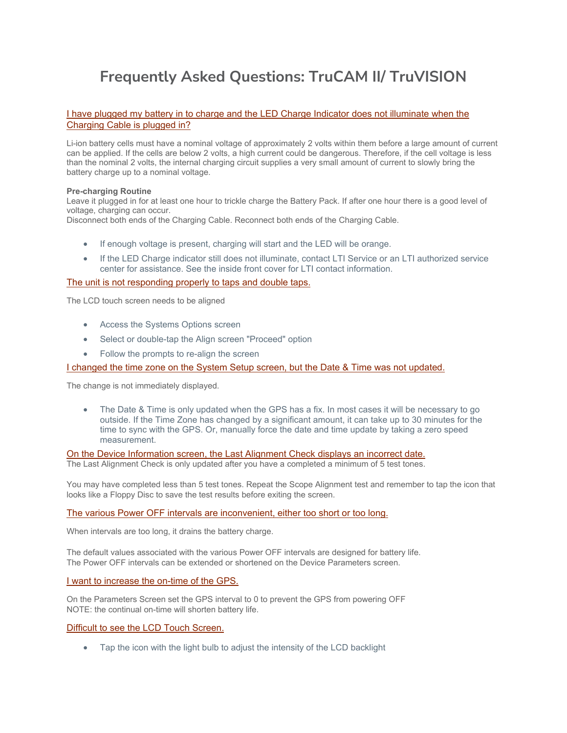# **Frequently Asked Questions: TruCAM II/ TruVISION**

# [I have plugged my battery in to charge and the LED Charge Indicator does not illuminate when the](javascript:__doPostBack()  [Charging Cable is plugged in?](javascript:__doPostBack()

Li-ion battery cells must have a nominal voltage of approximately 2 volts within them before a large amount of current can be applied. If the cells are below 2 volts, a high current could be dangerous. Therefore, if the cell voltage is less than the nominal 2 volts, the internal charging circuit supplies a very small amount of current to slowly bring the battery charge up to a nominal voltage.

#### **Pre-charging Routine**

Leave it plugged in for at least one hour to trickle charge the Battery Pack. If after one hour there is a good level of voltage, charging can occur.

Disconnect both ends of the Charging Cable. Reconnect both ends of the Charging Cable.

- If enough voltage is present, charging will start and the LED will be orange.
- If the LED Charge indicator still does not illuminate, contact LTI Service or an LTI authorized service center for assistance. See the inside front cover for LTI contact information.

## [The unit is not responding properly to taps and double taps.](javascript:__doPostBack()

The LCD touch screen needs to be aligned

- Access the Systems Options screen
- Select or double-tap the Align screen "Proceed" option
- Follow the prompts to re-align the screen

[I changed the time zone on the System Setup screen, but the Date & Time was not updated.](javascript:__doPostBack()

The change is not immediately displayed.

• The Date & Time is only updated when the GPS has a fix. In most cases it will be necessary to go outside. If the Time Zone has changed by a significant amount, it can take up to 30 minutes for the time to sync with the GPS. Or, manually force the date and time update by taking a zero speed measurement.

[On the Device Information screen, the Last Alignment Check displays an incorrect date.](javascript:__doPostBack()

The Last Alignment Check is only updated after you have a completed a minimum of 5 test tones.

You may have completed less than 5 test tones. Repeat the Scope Alignment test and remember to tap the icon that looks like a Floppy Disc to save the test results before exiting the screen.

[The various Power OFF intervals are inconvenient, either too short or too long.](javascript:__doPostBack()

When intervals are too long, it drains the battery charge.

The default values associated with the various Power OFF intervals are designed for battery life. The Power OFF intervals can be extended or shortened on the Device Parameters screen.

#### [I want to increase the on-time of the GPS.](javascript:__doPostBack()

On the Parameters Screen set the GPS interval to 0 to prevent the GPS from powering OFF NOTE: the continual on-time will shorten battery life.

# [Difficult to see the LCD Touch Screen.](javascript:__doPostBack()

• Tap the icon with the light bulb to adjust the intensity of the LCD backlight